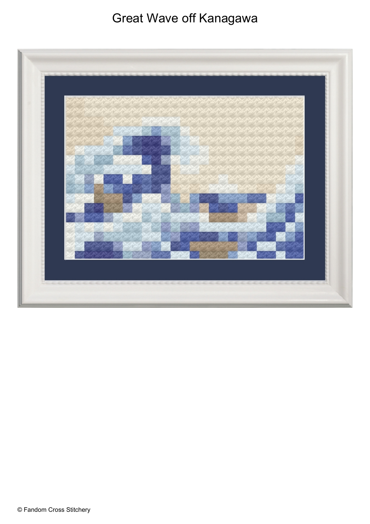## Great Wave off Kanagawa

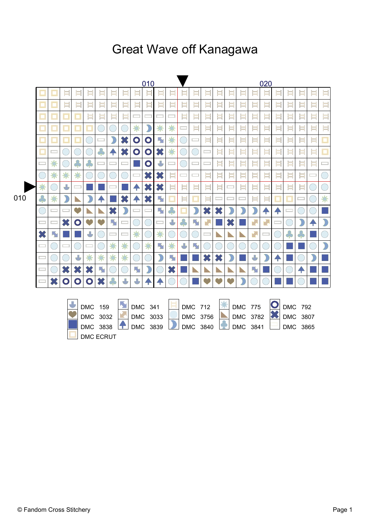## **Great Wave off Kanagawa**